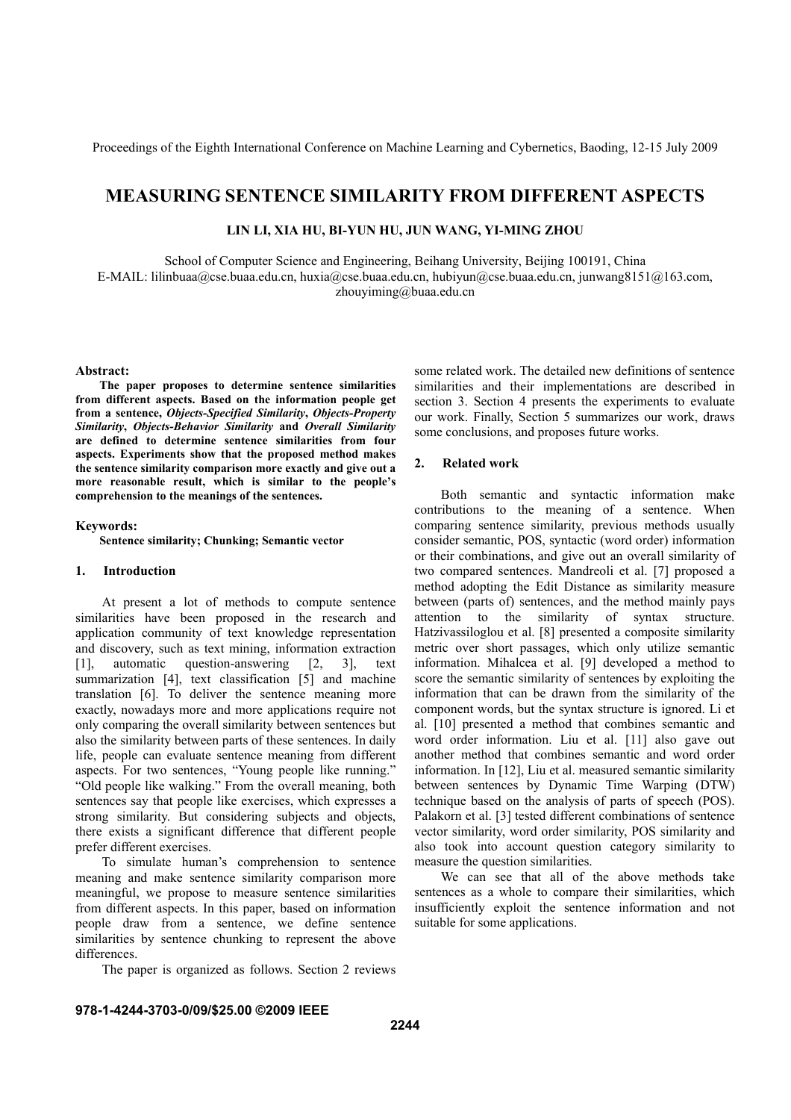# **MEASURING SENTENCE SIMILARITY FROM DIFFERENT ASPECTS**

**LIN LI, XIA HU, BI-YUN HU, JUN WANG, YI-MING ZHOU** 

School of Computer Science and Engineering, Beihang University, Beijing 100191, China E-MAIL: lilinbuaa@cse.buaa.edu.cn, huxia@cse.buaa.edu.cn, hubiyun@cse.buaa.edu.cn, junwang8151@163.com, zhouyiming@buaa.edu.cn

#### **Abstract:**

**The paper proposes to determine sentence similarities from different aspects. Based on the information people get from a sentence,** *Objects-Specified Similarity***,** *Objects-Property Similarity***,** *Objects-Behavior Similarity* **and** *Overall Similarity* **are defined to determine sentence similarities from four aspects. Experiments show that the proposed method makes the sentence similarity comparison more exactly and give out a more reasonable result, which is similar to the people's comprehension to the meanings of the sentences.** 

#### **Keywords:**

**Sentence similarity; Chunking; Semantic vector** 

# **1. Introduction**

At present a lot of methods to compute sentence similarities have been proposed in the research and application community of text knowledge representation and discovery, such as text mining, information extraction [1], automatic question-answering [2, 3], text summarization [4], text classification [5] and machine translation [6]. To deliver the sentence meaning more exactly, nowadays more and more applications require not only comparing the overall similarity between sentences but also the similarity between parts of these sentences. In daily life, people can evaluate sentence meaning from different aspects. For two sentences, "Young people like running." "Old people like walking." From the overall meaning, both sentences say that people like exercises, which expresses a strong similarity. But considering subjects and objects, there exists a significant difference that different people prefer different exercises.

To simulate human's comprehension to sentence meaning and make sentence similarity comparison more meaningful, we propose to measure sentence similarities from different aspects. In this paper, based on information people draw from a sentence, we define sentence similarities by sentence chunking to represent the above differences.

The paper is organized as follows. Section 2 reviews

some related work. The detailed new definitions of sentence similarities and their implementations are described in section 3. Section 4 presents the experiments to evaluate our work. Finally, Section 5 summarizes our work, draws some conclusions, and proposes future works.

# **2. Related work**

Both semantic and syntactic information make contributions to the meaning of a sentence. When comparing sentence similarity, previous methods usually consider semantic, POS, syntactic (word order) information or their combinations, and give out an overall similarity of two compared sentences. Mandreoli et al. [7] proposed a method adopting the Edit Distance as similarity measure between (parts of) sentences, and the method mainly pays attention to the similarity of syntax structure. Hatzivassiloglou et al. [8] presented a composite similarity metric over short passages, which only utilize semantic information. Mihalcea et al. [9] developed a method to score the semantic similarity of sentences by exploiting the information that can be drawn from the similarity of the component words, but the syntax structure is ignored. Li et al. [10] presented a method that combines semantic and word order information. Liu et al. [11] also gave out another method that combines semantic and word order information. In [12], Liu et al. measured semantic similarity between sentences by Dynamic Time Warping (DTW) technique based on the analysis of parts of speech (POS). Palakorn et al. [3] tested different combinations of sentence vector similarity, word order similarity, POS similarity and also took into account question category similarity to measure the question similarities.

We can see that all of the above methods take sentences as a whole to compare their similarities, which insufficiently exploit the sentence information and not suitable for some applications.

# **978-1-4244-3703-0/09/\$25.00 ©2009 IEEE**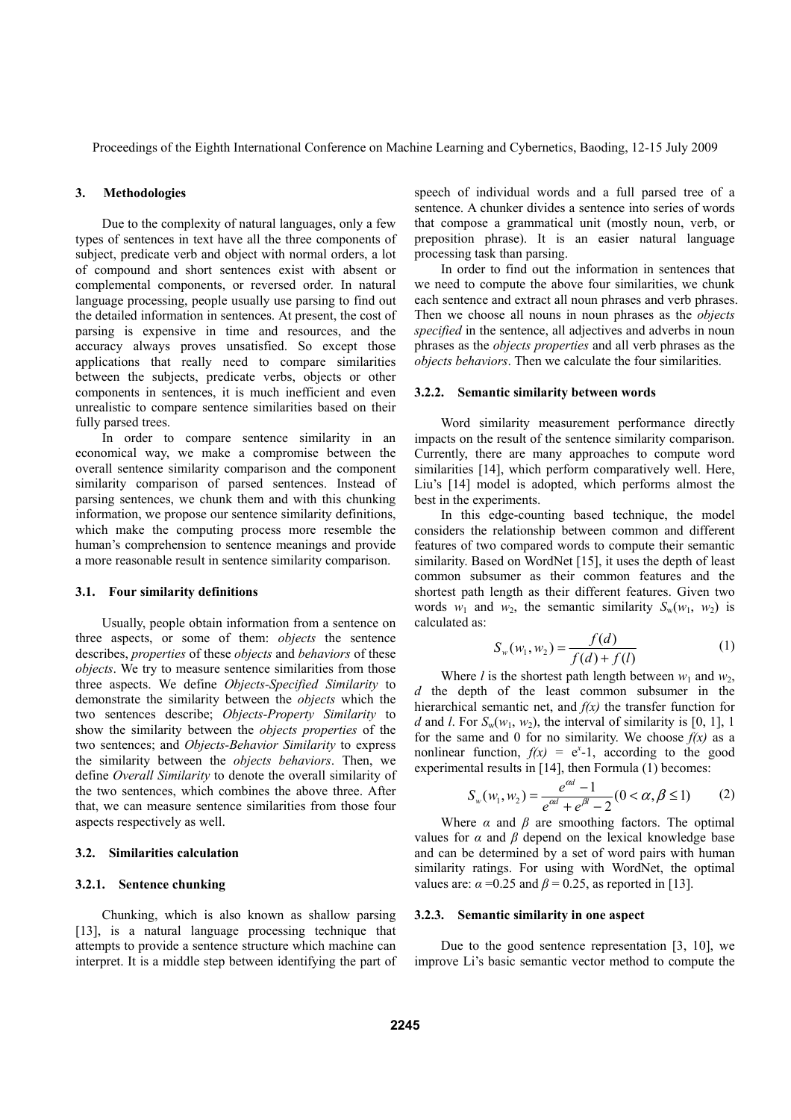#### **3. Methodologies**

Due to the complexity of natural languages, only a few types of sentences in text have all the three components of subject, predicate verb and object with normal orders, a lot of compound and short sentences exist with absent or complemental components, or reversed order. In natural language processing, people usually use parsing to find out the detailed information in sentences. At present, the cost of parsing is expensive in time and resources, and the accuracy always proves unsatisfied. So except those applications that really need to compare similarities between the subjects, predicate verbs, objects or other components in sentences, it is much inefficient and even unrealistic to compare sentence similarities based on their fully parsed trees.

In order to compare sentence similarity in an economical way, we make a compromise between the overall sentence similarity comparison and the component similarity comparison of parsed sentences. Instead of parsing sentences, we chunk them and with this chunking information, we propose our sentence similarity definitions, which make the computing process more resemble the human's comprehension to sentence meanings and provide a more reasonable result in sentence similarity comparison.

### **3.1. Four similarity definitions**

Usually, people obtain information from a sentence on three aspects, or some of them: *objects* the sentence describes, *properties* of these *objects* and *behaviors* of these *objects*. We try to measure sentence similarities from those three aspects. We define *Objects-Specified Similarity* to demonstrate the similarity between the *objects* which the two sentences describe; *Objects-Property Similarity* to show the similarity between the *objects properties* of the two sentences; and *Objects-Behavior Similarity* to express the similarity between the *objects behaviors*. Then, we define *Overall Similarity* to denote the overall similarity of the two sentences, which combines the above three. After that, we can measure sentence similarities from those four aspects respectively as well.

# **3.2. Similarities calculation**

# **3.2.1. Sentence chunking**

Chunking, which is also known as shallow parsing [13], is a natural language processing technique that attempts to provide a sentence structure which machine can interpret. It is a middle step between identifying the part of speech of individual words and a full parsed tree of a sentence. A chunker divides a sentence into series of words that compose a grammatical unit (mostly noun, verb, or preposition phrase). It is an easier natural language processing task than parsing.

In order to find out the information in sentences that we need to compute the above four similarities, we chunk each sentence and extract all noun phrases and verb phrases. Then we choose all nouns in noun phrases as the *objects specified* in the sentence, all adjectives and adverbs in noun phrases as the *objects properties* and all verb phrases as the *objects behaviors*. Then we calculate the four similarities.

#### **3.2.2. Semantic similarity between words**

Word similarity measurement performance directly impacts on the result of the sentence similarity comparison. Currently, there are many approaches to compute word similarities [14], which perform comparatively well. Here, Liu's [14] model is adopted, which performs almost the best in the experiments.

In this edge-counting based technique, the model considers the relationship between common and different features of two compared words to compute their semantic similarity. Based on WordNet [15], it uses the depth of least common subsumer as their common features and the shortest path length as their different features. Given two words  $w_1$  and  $w_2$ , the semantic similarity  $S_w(w_1, w_2)$  is calculated as:

$$
S_w(w_1, w_2) = \frac{f(d)}{f(d) + f(l)}
$$
 (1)

Where *l* is the shortest path length between  $w_1$  and  $w_2$ , *d* the depth of the least common subsumer in the hierarchical semantic net, and *f(x)* the transfer function for *d* and *l*. For  $S_w(w_1, w_2)$ , the interval of similarity is [0, 1], 1 for the same and 0 for no similarity. We choose  $f(x)$  as a nonlinear function,  $f(x) = e^x - 1$ , according to the good experimental results in [14], then Formula (1) becomes:

$$
S_w(w_1, w_2) = \frac{e^{\alpha d} - 1}{e^{\alpha d} + e^{\beta l} - 2} (0 < \alpha, \beta \le 1) \tag{2}
$$

Where  $\alpha$  and  $\beta$  are smoothing factors. The optimal values for  $\alpha$  and  $\beta$  depend on the lexical knowledge base and can be determined by a set of word pairs with human similarity ratings. For using with WordNet, the optimal values are:  $\alpha = 0.25$  and  $\beta = 0.25$ , as reported in [13].

#### **3.2.3. Semantic similarity in one aspect**

Due to the good sentence representation [3, 10], we improve Li's basic semantic vector method to compute the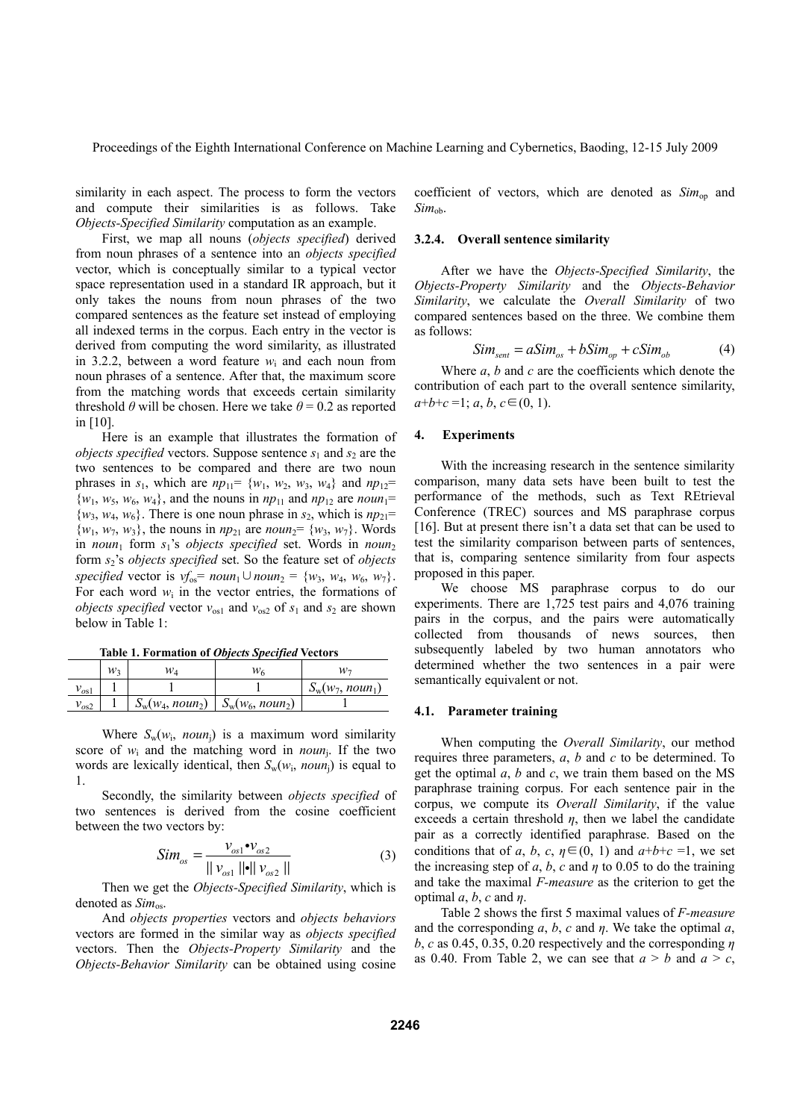similarity in each aspect. The process to form the vectors and compute their similarities is as follows. Take *Objects-Specified Similarity* computation as an example.

First, we map all nouns (*objects specified*) derived from noun phrases of a sentence into an *objects specified* vector, which is conceptually similar to a typical vector space representation used in a standard IR approach, but it only takes the nouns from noun phrases of the two compared sentences as the feature set instead of employing all indexed terms in the corpus. Each entry in the vector is derived from computing the word similarity, as illustrated in 3.2.2, between a word feature  $w_i$  and each noun from noun phrases of a sentence. After that, the maximum score from the matching words that exceeds certain similarity threshold  $\theta$  will be chosen. Here we take  $\theta$  = 0.2 as reported in [10].

Here is an example that illustrates the formation of *objects specified* vectors. Suppose sentence  $s_1$  and  $s_2$  are the two sentences to be compared and there are two noun phrases in  $s_1$ , which are  $np_{11} = \{w_1, w_2, w_3, w_4\}$  and  $np_{12} =$  $\{w_1, w_5, w_6, w_4\}$ , and the nouns in  $np_{11}$  and  $np_{12}$  are *noun*<sup>1=</sup>  $\{w_3, w_4, w_6\}$ . There is one noun phrase in  $s_2$ , which is  $np_{21}$ =  $\{w_1, w_7, w_3\}$ , the nouns in  $np_{21}$  are  $noun_2 = \{w_3, w_7\}$ . Words in *noun*<sub>1</sub> form  $s_1$ 's *objects specified* set. Words in *noun*<sub>2</sub> form *s*2's *objects specified* set. So the feature set of *objects specified* vector is  $v f_{0s} = noun_1 \cup noun_2 = \{w_3, w_4, w_6, w_7\}.$ For each word  $w_i$  in the vector entries, the formations of *objects specified* vector  $v_{\text{os1}}$  and  $v_{\text{os2}}$  of  $s_1$  and  $s_2$  are shown below in Table 1:

| Table 1. Formation of Objects Specified Vectors |  |  |
|-------------------------------------------------|--|--|
|                                                 |  |  |

|           | W2 | Wл                                       | W6 | W٦                 |
|-----------|----|------------------------------------------|----|--------------------|
| $v_{os1}$ |    |                                          |    | $S_w(w_7, noun_1)$ |
| $v_{os2}$ |    | $S_w(w_4, noun_2) \mid S_w(w_6, noun_2)$ |    |                    |

Where  $S_w(w_i, \text{noun}_i)$  is a maximum word similarity score of  $w_i$  and the matching word in *noun*<sub>i</sub>. If the two words are lexically identical, then  $S_w(w_i, noun_i)$  is equal to 1.

Secondly, the similarity between *objects specified* of two sentences is derived from the cosine coefficient between the two vectors by:

$$
Sim_{os} = \frac{v_{os1} \cdot v_{os2}}{||v_{os1}|| ||v_{os2}||}
$$
 (3)

Then we get the *Objects-Specified Similarity*, which is denoted as *Sim*<sub>os</sub>.

And *objects properties* vectors and *objects behaviors* vectors are formed in the similar way as *objects specified* vectors. Then the *Objects-Property Similarity* and the *Objects-Behavior Similarity* can be obtained using cosine coefficient of vectors, which are denoted as  $Sim_{op}$  and  $Sim<sub>oh</sub>$ .

# **3.2.4. Overall sentence similarity**

After we have the *Objects-Specified Similarity*, the *Objects-Property Similarity* and the *Objects-Behavior Similarity*, we calculate the *Overall Similarity* of two compared sentences based on the three. We combine them as follows:

$$
Sim_{sent} = aSim_{os} + bSim_{op} + cSim_{ob} \tag{4}
$$

Where *a*, *b* and *c* are the coefficients which denote the contribution of each part to the overall sentence similarity,  $a+b+c=1; a, b, c \in (0, 1).$ 

# **4. Experiments**

With the increasing research in the sentence similarity comparison, many data sets have been built to test the performance of the methods, such as Text REtrieval Conference (TREC) sources and MS paraphrase corpus [16]. But at present there isn't a data set that can be used to test the similarity comparison between parts of sentences, that is, comparing sentence similarity from four aspects proposed in this paper.

We choose MS paraphrase corpus to do our experiments. There are 1,725 test pairs and 4,076 training pairs in the corpus, and the pairs were automatically collected from thousands of news sources, then subsequently labeled by two human annotators who determined whether the two sentences in a pair were semantically equivalent or not.

#### **4.1. Parameter training**

When computing the *Overall Similarity*, our method requires three parameters, *a*, *b* and *c* to be determined. To get the optimal *a*, *b* and *c*, we train them based on the MS paraphrase training corpus. For each sentence pair in the corpus, we compute its *Overall Similarity*, if the value exceeds a certain threshold  $\eta$ , then we label the candidate pair as a correctly identified paraphrase. Based on the conditions that of *a*, *b*, *c*,  $\eta \in (0, 1)$  and  $a+b+c=1$ , we set the increasing step of *a*, *b*, *c* and  $\eta$  to 0.05 to do the training and take the maximal *F-measure* as the criterion to get the optimal *a*, *b*, *c* and *η*.

Table 2 shows the first 5 maximal values of *F-measure* and the corresponding *a*, *b*, *c* and *η*. We take the optimal *a*, *b*, *c* as 0.45, 0.35, 0.20 respectively and the corresponding *η* as 0.40. From Table 2, we can see that  $a > b$  and  $a > c$ ,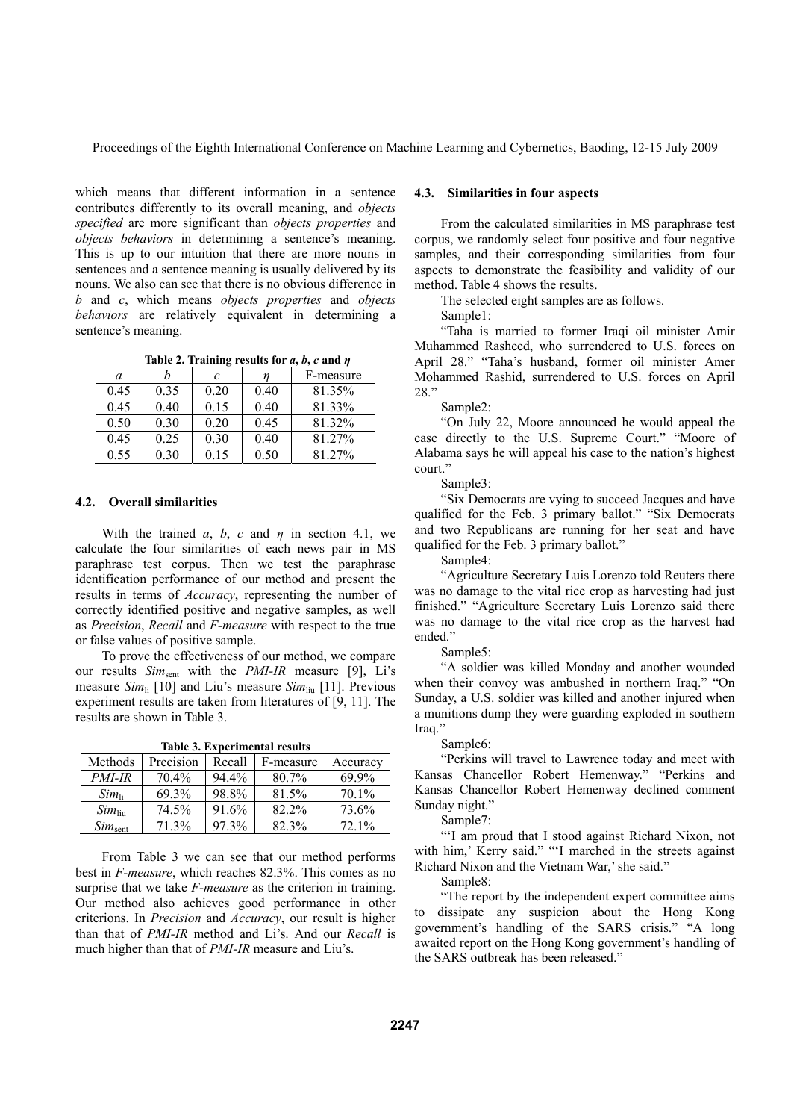which means that different information in a sentence contributes differently to its overall meaning, and *objects specified* are more significant than *objects properties* and *objects behaviors* in determining a sentence's meaning. This is up to our intuition that there are more nouns in sentences and a sentence meaning is usually delivered by its nouns. We also can see that there is no obvious difference in *b* and *c*, which means *objects properties* and *objects behaviors* are relatively equivalent in determining a sentence's meaning.

**Table 2. Training results for**  $a, b, c$  **and**  $\eta$ 

| а    |      | C    |      | F-measure |
|------|------|------|------|-----------|
| 0.45 | 0.35 | 0.20 | 0.40 | 81.35%    |
| 0.45 | 0.40 | 0.15 | 0.40 | 81.33%    |
| 0.50 | 0.30 | 0.20 | 0.45 | 81.32%    |
| 0.45 | 0.25 | 0.30 | 0.40 | 81.27%    |
| 0.55 | 0.30 | 0.15 | 0.50 | 81 27%    |

### **4.2. Overall similarities**

With the trained *a*, *b*, *c* and *η* in section 4.1, we calculate the four similarities of each news pair in MS paraphrase test corpus. Then we test the paraphrase identification performance of our method and present the results in terms of *Accuracy*, representing the number of correctly identified positive and negative samples, as well as *Precision*, *Recall* and *F-measure* with respect to the true or false values of positive sample.

To prove the effectiveness of our method, we compare our results *Sim*sent with the *PMI-IR* measure [9], Li's measure *Sim*li [10] and Liu's measure *Sim*liu [11]. Previous experiment results are taken from literatures of [9, 11]. The results are shown in Table 3.

**Table 3. Experimental results** 

| Methods            | Precision | Recall   | F-measure | Accuracy |
|--------------------|-----------|----------|-----------|----------|
| <i>PMI-IR</i>      | $70.4\%$  | $94.4\%$ | $80.7\%$  | 69.9%    |
| $Sim_{\rm li}$     | 69.3%     | 98.8%    | 81.5%     | 70.1%    |
| $Sim_{\text{liu}}$ | 74.5%     | 91.6%    | 82.2%     | 73.6%    |
| $Sim_{sent}$       | 71 3%     | $97.3\%$ | $82.3\%$  | 72.1%    |

From Table 3 we can see that our method performs best in *F-measure*, which reaches 82.3%. This comes as no surprise that we take *F-measure* as the criterion in training. Our method also achieves good performance in other criterions. In *Precision* and *Accuracy*, our result is higher than that of *PMI-IR* method and Li's. And our *Recall* is much higher than that of *PMI-IR* measure and Liu's.

#### **4.3. Similarities in four aspects**

From the calculated similarities in MS paraphrase test corpus, we randomly select four positive and four negative samples, and their corresponding similarities from four aspects to demonstrate the feasibility and validity of our method. Table 4 shows the results.

The selected eight samples are as follows.

Sample1:

"Taha is married to former Iraqi oil minister Amir Muhammed Rasheed, who surrendered to U.S. forces on April 28." "Taha's husband, former oil minister Amer Mohammed Rashid, surrendered to U.S. forces on April 28."

Sample2:

"On July 22, Moore announced he would appeal the case directly to the U.S. Supreme Court." "Moore of Alabama says he will appeal his case to the nation's highest court."

Sample3:

"Six Democrats are vying to succeed Jacques and have qualified for the Feb. 3 primary ballot." "Six Democrats and two Republicans are running for her seat and have qualified for the Feb. 3 primary ballot."

Sample4:

"Agriculture Secretary Luis Lorenzo told Reuters there was no damage to the vital rice crop as harvesting had just finished." "Agriculture Secretary Luis Lorenzo said there was no damage to the vital rice crop as the harvest had ended."

Sample5:

"A soldier was killed Monday and another wounded when their convoy was ambushed in northern Iraq." "On Sunday, a U.S. soldier was killed and another injured when a munitions dump they were guarding exploded in southern Iraq."

Sample6:

"Perkins will travel to Lawrence today and meet with Kansas Chancellor Robert Hemenway." "Perkins and Kansas Chancellor Robert Hemenway declined comment Sunday night."

Sample7:

"'I am proud that I stood against Richard Nixon, not with him,' Kerry said." "'I marched in the streets against Richard Nixon and the Vietnam War,' she said."

Sample8:

"The report by the independent expert committee aims to dissipate any suspicion about the Hong Kong government's handling of the SARS crisis." "A long awaited report on the Hong Kong government's handling of the SARS outbreak has been released."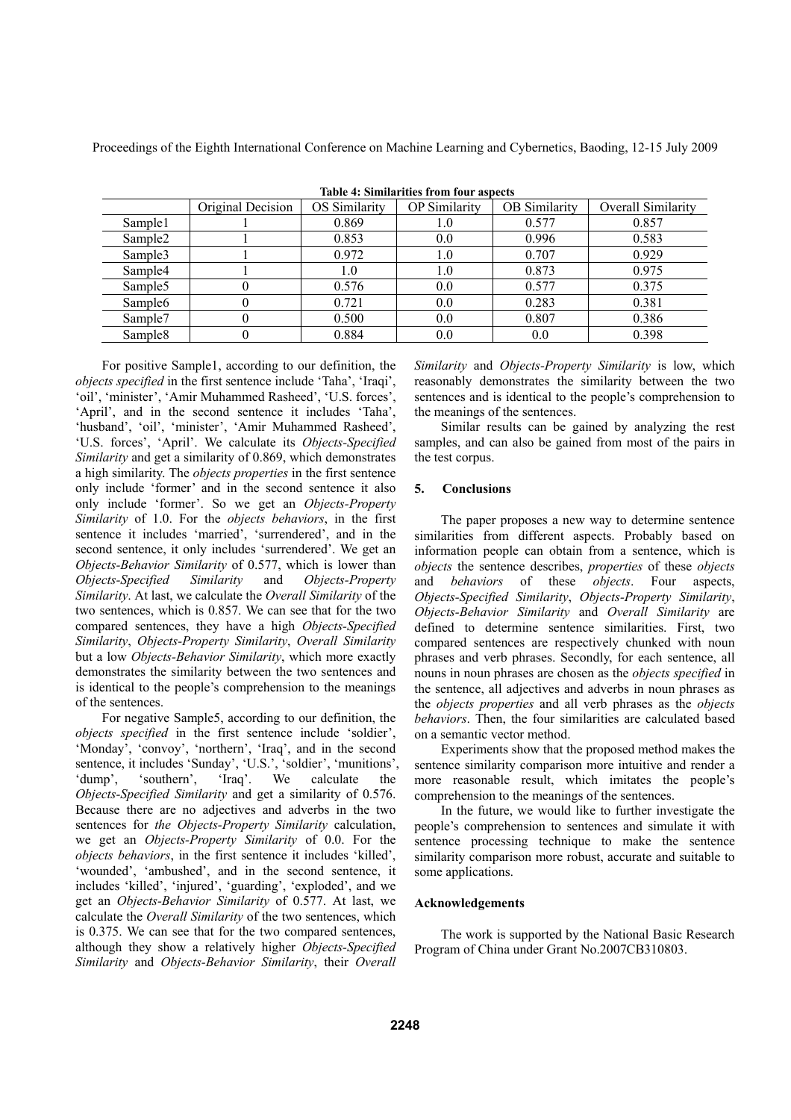| Table 4: Summarities from four aspects |                   |               |                      |                      |                    |
|----------------------------------------|-------------------|---------------|----------------------|----------------------|--------------------|
|                                        | Original Decision | OS Similarity | <b>OP</b> Similarity | <b>OB</b> Similarity | Overall Similarity |
| Sample1                                |                   | 0.869         | 1.0                  | 0.577                | 0.857              |
| Sample <sub>2</sub>                    |                   | 0.853         | 0.0                  | 0.996                | 0.583              |
| Sample3                                |                   | 0.972         | 1.0                  | 0.707                | 0.929              |
| Sample4                                |                   | 1.0           | 1.0                  | 0.873                | 0.975              |
| Sample <sub>5</sub>                    |                   | 0.576         | 0.0                  | 0.577                | 0.375              |
| Sample <sub>6</sub>                    |                   | 0.721         | 0.0                  | 0.283                | 0.381              |
| Sample7                                |                   | 0.500         | 0.0                  | 0.807                | 0.386              |
| Sample <sub>8</sub>                    |                   | 0.884         | 0.0                  | 0.0                  | 0.398              |

**Table 4: Similarities from four aspects** 

For positive Sample1, according to our definition, the *objects specified* in the first sentence include 'Taha', 'Iraqi', 'oil', 'minister', 'Amir Muhammed Rasheed', 'U.S. forces', 'April', and in the second sentence it includes 'Taha', 'husband', 'oil', 'minister', 'Amir Muhammed Rasheed', 'U.S. forces', 'April'. We calculate its *Objects-Specified Similarity* and get a similarity of 0.869, which demonstrates a high similarity. The *objects properties* in the first sentence only include 'former' and in the second sentence it also only include 'former'. So we get an *Objects-Property Similarity* of 1.0. For the *objects behaviors*, in the first sentence it includes 'married', 'surrendered', and in the second sentence, it only includes 'surrendered'. We get an *Objects-Behavior Similarity* of 0.577, which is lower than *Objects-Specified Similarity* and *Objects-Property Similarity*. At last, we calculate the *Overall Similarity* of the two sentences, which is 0.857. We can see that for the two compared sentences, they have a high *Objects-Specified Similarity*, *Objects-Property Similarity*, *Overall Similarity* but a low *Objects-Behavior Similarity*, which more exactly demonstrates the similarity between the two sentences and is identical to the people's comprehension to the meanings of the sentences.

For negative Sample5, according to our definition, the *objects specified* in the first sentence include 'soldier', 'Monday', 'convoy', 'northern', 'Iraq', and in the second sentence, it includes 'Sunday', 'U.S.', 'soldier', 'munitions', 'dump', 'southern', 'Iraq'. We calculate the *Objects-Specified Similarity* and get a similarity of 0.576. Because there are no adjectives and adverbs in the two sentences for *the Objects-Property Similarity* calculation, we get an *Objects-Property Similarity* of 0.0. For the *objects behaviors*, in the first sentence it includes 'killed', 'wounded', 'ambushed', and in the second sentence, it includes 'killed', 'injured', 'guarding', 'exploded', and we get an *Objects-Behavior Similarity* of 0.577. At last, we calculate the *Overall Similarity* of the two sentences, which is 0.375. We can see that for the two compared sentences, although they show a relatively higher *Objects-Specified Similarity* and *Objects-Behavior Similarity*, their *Overall* 

*Similarity* and *Objects-Property Similarity* is low, which reasonably demonstrates the similarity between the two sentences and is identical to the people's comprehension to the meanings of the sentences.

Similar results can be gained by analyzing the rest samples, and can also be gained from most of the pairs in the test corpus.

# **5. Conclusions**

The paper proposes a new way to determine sentence similarities from different aspects. Probably based on information people can obtain from a sentence, which is *objects* the sentence describes, *properties* of these *objects* and *behaviors* of these *objects*. Four aspects, *Objects-Specified Similarity*, *Objects-Property Similarity*, *Objects-Behavior Similarity* and *Overall Similarity* are defined to determine sentence similarities. First, two compared sentences are respectively chunked with noun phrases and verb phrases. Secondly, for each sentence, all nouns in noun phrases are chosen as the *objects specified* in the sentence, all adjectives and adverbs in noun phrases as the *objects properties* and all verb phrases as the *objects behaviors*. Then, the four similarities are calculated based on a semantic vector method.

Experiments show that the proposed method makes the sentence similarity comparison more intuitive and render a more reasonable result, which imitates the people's comprehension to the meanings of the sentences.

In the future, we would like to further investigate the people's comprehension to sentences and simulate it with sentence processing technique to make the sentence similarity comparison more robust, accurate and suitable to some applications.

# **Acknowledgements**

The work is supported by the National Basic Research Program of China under Grant No.2007CB310803.